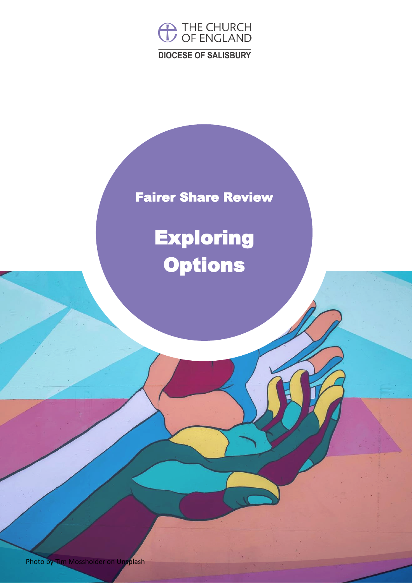

## Fairer Share Review

## **Exploring Options**

Photo by Tim Mossholder on Unsplash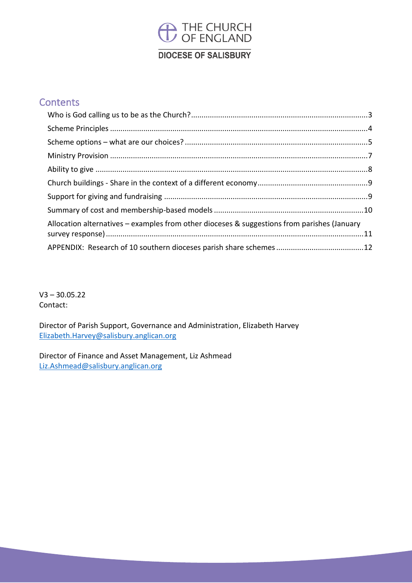## **DIOCESE OF SALISBURY**

### **Contents**

| Allocation alternatives - examples from other dioceses & suggestions from parishes (January |  |
|---------------------------------------------------------------------------------------------|--|
|                                                                                             |  |

 $V3 - 30.05.22$ Contact:

Director of Parish Support, Governance and Administration, Elizabeth Harvey [Elizabeth.Harvey@salisbury.anglican.org](mailto:Elizabeth.Harvey@salisbury.anglican.org)

Director of Finance and Asset Management, Liz Ashmead [Liz.Ashmead@salisbury.anglican.org](mailto:Liz.Ashmead@salisbury.anglican.org)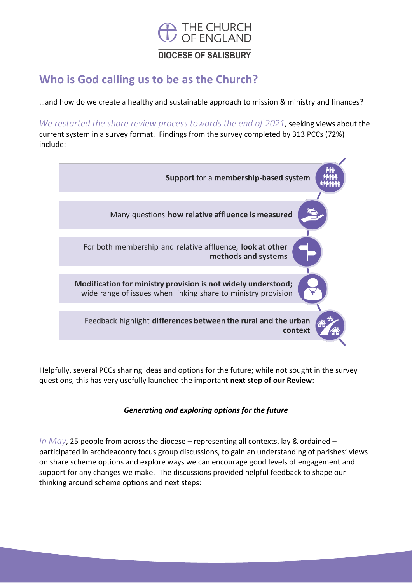

### <span id="page-2-0"></span>**Who is God calling us to be as the Church?**

…and how do we create a healthy and sustainable approach to mission & ministry and finances?

*We restarted the share review process towards the end of 2021*, seeking views about the current system in a survey format. Findings from the survey completed by 313 PCCs (72%) include:



Helpfully, several PCCs sharing ideas and options for the future; while not sought in the survey questions, this has very usefully launched the important **next step of our Review**:

#### *Generating and exploring options for the future*

*In May*, 25 people from across the diocese – representing all contexts, lay & ordained – participated in archdeaconry focus group discussions, to gain an understanding of parishes' views on share scheme options and explore ways we can encourage good levels of engagement and support for any changes we make. The discussions provided helpful feedback to shape our thinking around scheme options and next steps: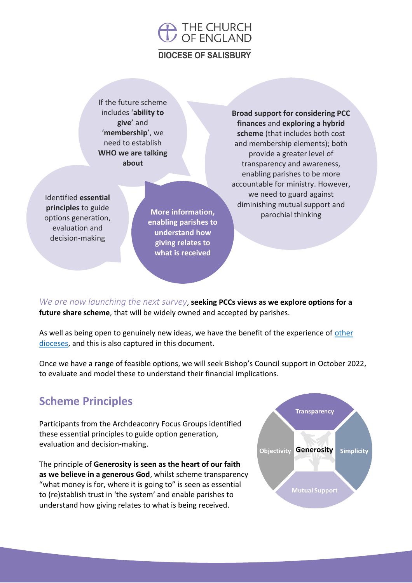### **DIOCESE OF SALISBURY**

If the future scheme includes '**ability to give**' and '**membership**', we need to establish **WHO we are talking about**

Identified **essential principles** to guide options generation, evaluation and decision-making

**More information, enabling parishes to understand how giving relates to what is received** 

**Broad support for considering PCC finances** and **exploring a hybrid scheme** (that includes both cost and membership elements); both provide a greater level of transparency and awareness, enabling parishes to be more accountable for ministry. However, we need to guard against diminishing mutual support and parochial thinking

*We are now launching the next survey*, **seeking PCCs views as we explore options for a future share scheme**, that will be widely owned and accepted by parishes.

As well as being open to genuinely new ideas, we have the benefit of the experience of other [dioceses,](#page-11-0) and this is also captured in this document.

Once we have a range of feasible options, we will seek Bishop's Council support in October 2022, to evaluate and model these to understand their financial implications.

## <span id="page-3-0"></span>**Scheme Principles**

Participants from the Archdeaconry Focus Groups identified these essential principles to guide option generation, evaluation and decision-making.

The principle of **Generosity is seen as the heart of our faith as we believe in a generous God**, whilst scheme transparency "what money is for, where it is going to" is seen as essential to (re)stablish trust in 'the system' and enable parishes to understand how giving relates to what is being received.

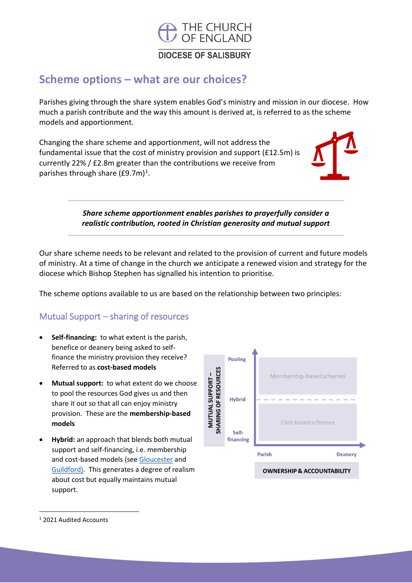

### <span id="page-4-0"></span>**Scheme options – what are our choices?**

Parishes giving through the share system enables God's ministry and mission in our diocese. How much a parish contribute and the way this amount is derived at, is referred to as the scheme models and apportionment.

Changing the share scheme and apportionment, will not address the fundamental issue that the cost of ministry provision and support (£12.5m) is currently 22% / £2.8m greater than the contributions we receive from parishes through share (£9.7m)<sup>1</sup>.

> *Share scheme apportionment enables parishes to prayerfully consider a realistic contribution, rooted in Christian generosity and mutual support*

Our share scheme needs to be relevant and related to the provision of current and future models of ministry. At a time of change in the church we anticipate a renewed vision and strategy for the diocese which Bishop Stephen has signalled his intention to prioritise.

The scheme options available to us are based on the relationship between two principles:

### Mutual Support – sharing of resources

- **Self-financing:** to what extent is the parish, benefice or deanery being asked to selffinance the ministry provision they receive? Referred to as **cost-based models**
- **Mutual support:** to what extent do we choose to pool the resources God gives us and then share it out so that all can enjoy ministry provision. These are the **membership-based models**
- **Hybrid:** an approach that blends both mutual support and self-financing, i.e. membership and cost-based models (see [Gloucester](https://www.gloucester.anglican.org/wp-content/uploads/2017/02/Parish-Share-leaflet-colour.pdf) and [Guildford\)](https://www.cofeguildford.org.uk/about/governance/parish-procedures-policies-and-regulations/parish-share/resources). This generates a degree of realism about cost but equally maintains mutual support.



<sup>1</sup> 2021 Audited Accounts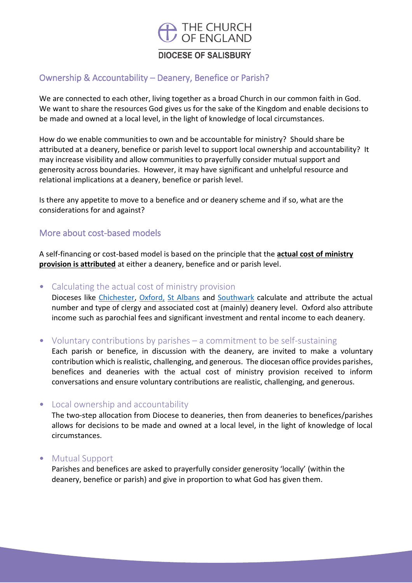

### Ownership & Accountability – Deanery, Benefice or Parish?

We are connected to each other, living together as a broad Church in our common faith in God. We want to share the resources God gives us for the sake of the Kingdom and enable decisions to be made and owned at a local level, in the light of knowledge of local circumstances.

How do we enable communities to own and be accountable for ministry? Should share be attributed at a deanery, benefice or parish level to support local ownership and accountability? It may increase visibility and allow communities to prayerfully consider mutual support and generosity across boundaries. However, it may have significant and unhelpful resource and relational implications at a deanery, benefice or parish level.

Is there any appetite to move to a benefice and or deanery scheme and if so, what are the considerations for and against?

#### More about cost-based models

A self-financing or cost-based model is based on the principle that the **actual cost of ministry provision is attributed** at either a deanery, benefice and or parish level.

• Calculating the actual cost of ministry provision

Dioceses like [Chichester,](https://cofechichester.contentfiles.net/media/documents/document/2019/05/Parish_Share_Leaflet.pdf) [Oxford,](https://d3hgrlq6yacptf.cloudfront.net/61f2fd86f0ee5/content/pages/documents/20210526-doc-support-services-parish-share-leaflet.pdf) [St Albans](https://www.stalbans.anglican.org/finance/parish-share-scheme/) and [Southwark](https://southwark.anglican.org/wp-content/uploads/2021/07/PSF-2022_booklet_F.pdf) calculate and attribute the actual number and type of clergy and associated cost at (mainly) deanery level. Oxford also attribute income such as parochial fees and significant investment and rental income to each deanery.

• Voluntary contributions by parishes – a commitment to be self-sustaining

Each parish or benefice, in discussion with the deanery, are invited to make a voluntary contribution which is realistic, challenging, and generous. The diocesan office provides parishes, benefices and deaneries with the actual cost of ministry provision received to inform conversations and ensure voluntary contributions are realistic, challenging, and generous.

#### • Local ownership and accountability

The two-step allocation from Diocese to deaneries, then from deaneries to benefices/parishes allows for decisions to be made and owned at a local level, in the light of knowledge of local circumstances.

• Mutual Support

Parishes and benefices are asked to prayerfully consider generosity 'locally' (within the deanery, benefice or parish) and give in proportion to what God has given them.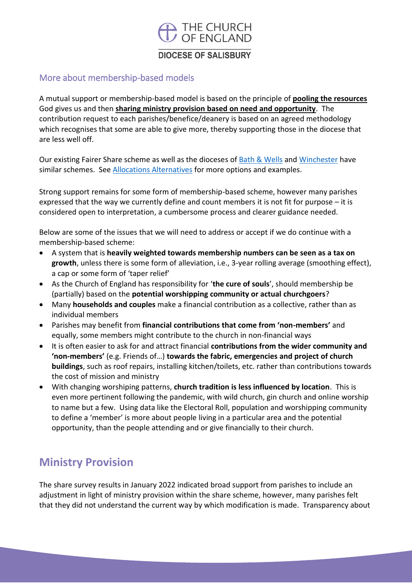### **DIOCESE OF SALISBURY**

### More about membership-based models

A mutual support or membership-based model is based on the principle of **pooling the resources** God gives us and then **sharing ministry provision based on need and opportunity**. The contribution request to each parishes/benefice/deanery is based on an agreed methodology which recognises that some are able to give more, thereby supporting those in the diocese that are less well off.

Our existing Fairer Share scheme as well as the dioceses of **Bath & Wells** and [Winchester](https://www.winchester.anglican.org/common-mission-fund/) have similar schemes. See [Allocations Alternatives](#page-10-0) for more options and examples.

Strong support remains for some form of membership-based scheme, however many parishes expressed that the way we currently define and count members it is not fit for purpose – it is considered open to interpretation, a cumbersome process and clearer guidance needed.

Below are some of the issues that we will need to address or accept if we do continue with a membership-based scheme:

- A system that is **heavily weighted towards membership numbers can be seen as a tax on growth**, unless there is some form of alleviation, i.e., 3-year rolling average (smoothing effect), a cap or some form of 'taper relief'
- As the Church of England has responsibility for '**the cure of souls**', should membership be (partially) based on the **potential worshipping community or actual churchgoers**?
- Many **households and couples** make a financial contribution as a collective, rather than as individual members
- Parishes may benefit from **financial contributions that come from 'non-members'** and equally, some members might contribute to the church in non-financial ways
- It is often easier to ask for and attract financial **contributions from the wider community and 'non-members'** (e.g. Friends of…) **towards the fabric, emergencies and project of church buildings**, such as roof repairs, installing kitchen/toilets, etc. rather than contributions towards the cost of mission and ministry
- With changing worshiping patterns, **church tradition is less influenced by location**. This is even more pertinent following the pandemic, with wild church, gin church and online worship to name but a few. Using data like the Electoral Roll, population and worshipping community to define a 'member' is more about people living in a particular area and the potential opportunity, than the people attending and or give financially to their church.

## <span id="page-6-0"></span>**Ministry Provision**

The share survey results in January 2022 indicated broad support from parishes to include an adjustment in light of ministry provision within the share scheme, however, many parishes felt that they did not understand the current way by which modification is made. Transparency about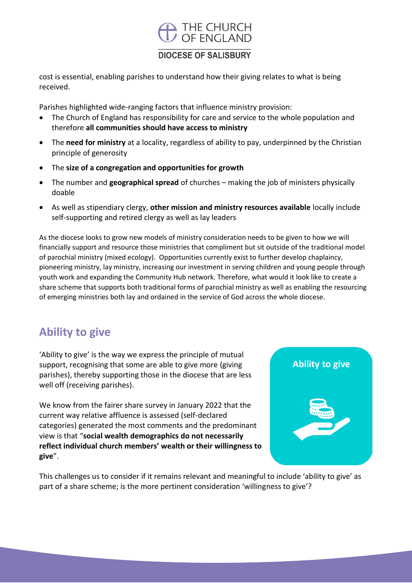### **DIOCESE OF SALISBURY**

cost is essential, enabling parishes to understand how their giving relates to what is being received.

Parishes highlighted wide-ranging factors that influence ministry provision:

- The Church of England has responsibility for care and service to the whole population and therefore **all communities should have access to ministry**
- The **need for ministry** at a locality, regardless of ability to pay, underpinned by the Christian principle of generosity
- The **size of a congregation and opportunities for growth**
- The number and **geographical spread** of churches making the job of ministers physically doable
- As well as stipendiary clergy, **other mission and ministry resources available** locally include self-supporting and retired clergy as well as lay leaders

As the diocese looks to grow new models of ministry consideration needs to be given to how we will financially support and resource those ministries that compliment but sit outside of the traditional model of parochial ministry (mixed ecology). Opportunities currently exist to further develop chaplaincy, pioneering ministry, lay ministry, increasing our investment in serving children and young people through youth work and expanding the Community Hub network. Therefore, what would it look like to create a share scheme that supports both traditional forms of parochial ministry as well as enabling the resourcing of emerging ministries both lay and ordained in the service of God across the whole diocese.

## <span id="page-7-0"></span>**Ability to give**

'Ability to give' is the way we express the principle of mutual support, recognising that some are able to give more (giving parishes), thereby supporting those in the diocese that are less well off (receiving parishes).

We know from the fairer share survey in January 2022 that the current way relative affluence is assessed (self-declared categories) generated the most comments and the predominant view is that "**social wealth demographics do not necessarily reflect individual church members' wealth or their willingness to give**".



This challenges us to consider if it remains relevant and meaningful to include 'ability to give' as part of a share scheme; is the more pertinent consideration 'willingness to give'?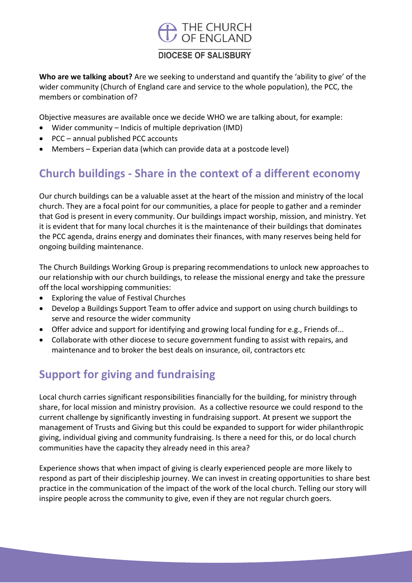### **DIOCESE OF SALISBURY**

**Who are we talking about?** Are we seeking to understand and quantify the 'ability to give' of the wider community (Church of England care and service to the whole population), the PCC, the members or combination of?

Objective measures are available once we decide WHO we are talking about, for example:

- Wider community Indicis of multiple deprivation (IMD)
- PCC annual published PCC accounts
- Members Experian data (which can provide data at a postcode level)

## <span id="page-8-0"></span>**Church buildings - Share in the context of a different economy**

Our church buildings can be a valuable asset at the heart of the mission and ministry of the local church. They are a focal point for our communities, a place for people to gather and a reminder that God is present in every community. Our buildings impact worship, mission, and ministry. Yet it is evident that for many local churches it is the maintenance of their buildings that dominates the PCC agenda, drains energy and dominates their finances, with many reserves being held for ongoing building maintenance.

The Church Buildings Working Group is preparing recommendations to unlock new approaches to our relationship with our church buildings, to release the missional energy and take the pressure off the local worshipping communities:

- Exploring the value of Festival Churches
- Develop a Buildings Support Team to offer advice and support on using church buildings to serve and resource the wider community
- Offer advice and support for identifying and growing local funding for e.g., Friends of...
- Collaborate with other diocese to secure government funding to assist with repairs, and maintenance and to broker the best deals on insurance, oil, contractors etc

## <span id="page-8-1"></span>**Support for giving and fundraising**

Local church carries significant responsibilities financially for the building, for ministry through share, for local mission and ministry provision. As a collective resource we could respond to the current challenge by significantly investing in fundraising support. At present we support the management of Trusts and Giving but this could be expanded to support for wider philanthropic giving, individual giving and community fundraising. Is there a need for this, or do local church communities have the capacity they already need in this area?

Experience shows that when impact of giving is clearly experienced people are more likely to respond as part of their discipleship journey. We can invest in creating opportunities to share best practice in the communication of the impact of the work of the local church. Telling our story will inspire people across the community to give, even if they are not regular church goers.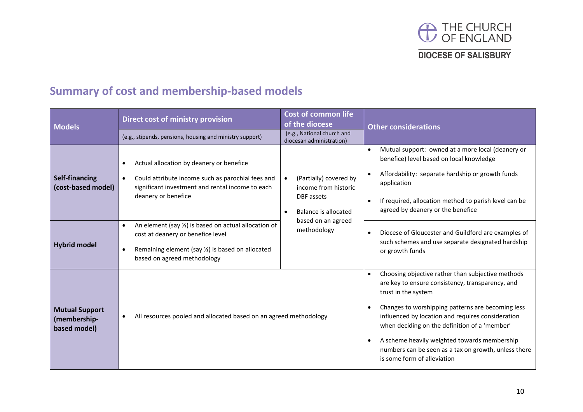

## **Summary of cost and membership-based models**

<span id="page-9-0"></span>

| <b>Models</b>                                         | Direct cost of ministry provision                                                                                                                                                                                              | <b>Cost of common life</b><br>of the diocese                                                                                                                                                                                                                                                                                                                                                                                   | <b>Other considerations</b>                                                                                                                                                                                                                                    |  |  |  |
|-------------------------------------------------------|--------------------------------------------------------------------------------------------------------------------------------------------------------------------------------------------------------------------------------|--------------------------------------------------------------------------------------------------------------------------------------------------------------------------------------------------------------------------------------------------------------------------------------------------------------------------------------------------------------------------------------------------------------------------------|----------------------------------------------------------------------------------------------------------------------------------------------------------------------------------------------------------------------------------------------------------------|--|--|--|
|                                                       | (e.g., stipends, pensions, housing and ministry support)                                                                                                                                                                       | (e.g., National church and<br>diocesan administration)                                                                                                                                                                                                                                                                                                                                                                         |                                                                                                                                                                                                                                                                |  |  |  |
| Self-financing<br>(cost-based model)                  | Actual allocation by deanery or benefice<br>$\bullet$<br>Could attribute income such as parochial fees and<br>$\bullet$<br>significant investment and rental income to each<br>deanery or benefice                             | (Partially) covered by<br>$\bullet$<br>income from historic<br>DBF assets<br>Balance is allocated<br>$\bullet$<br>based on an agreed<br>methodology                                                                                                                                                                                                                                                                            | Mutual support: owned at a more local (deanery or<br>benefice) level based on local knowledge<br>Affordability: separate hardship or growth funds<br>application<br>If required, allocation method to parish level can be<br>agreed by deanery or the benefice |  |  |  |
| <b>Hybrid model</b>                                   | An element (say $\frac{1}{2}$ ) is based on actual allocation of<br>$\bullet$<br>cost at deanery or benefice level<br>Remaining element (say $\frac{1}{2}$ ) is based on allocated<br>$\bullet$<br>based on agreed methodology |                                                                                                                                                                                                                                                                                                                                                                                                                                | Diocese of Gloucester and Guildford are examples of<br>such schemes and use separate designated hardship<br>or growth funds                                                                                                                                    |  |  |  |
| <b>Mutual Support</b><br>(membership-<br>based model) | All resources pooled and allocated based on an agreed methodology<br>$\bullet$                                                                                                                                                 | Choosing objective rather than subjective methods<br>are key to ensure consistency, transparency, and<br>trust in the system<br>Changes to worshipping patterns are becoming less<br>influenced by location and requires consideration<br>when deciding on the definition of a 'member'<br>A scheme heavily weighted towards membership<br>numbers can be seen as a tax on growth, unless there<br>is some form of alleviation |                                                                                                                                                                                                                                                                |  |  |  |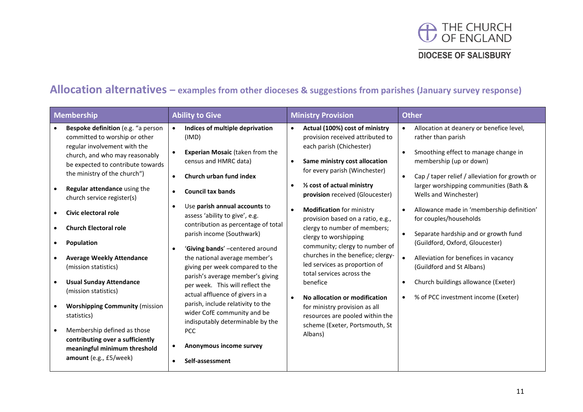

## **Allocation alternatives – examples from other dioceses & suggestions from parishes (January survey response)**

<span id="page-10-0"></span>

| <b>Membership</b>                                                                                                                                                                                                                                                                                                                                                                                                                                                                                                                                                                                                                                         | <b>Ability to Give</b>                                                                                                                                                                                                                                                                                                                                                                                                                                                                                                                                                                                                                                                                                                   | <b>Ministry Provision</b>                                                                                                                                                                                                                                                                                                                                                                                                                                                                                                                                                                                                                                                                                                                | <b>Other</b>                                                                                                                                                                                                                                                                                                                                                                                                                                                                                                                                                                                                                              |  |  |  |
|-----------------------------------------------------------------------------------------------------------------------------------------------------------------------------------------------------------------------------------------------------------------------------------------------------------------------------------------------------------------------------------------------------------------------------------------------------------------------------------------------------------------------------------------------------------------------------------------------------------------------------------------------------------|--------------------------------------------------------------------------------------------------------------------------------------------------------------------------------------------------------------------------------------------------------------------------------------------------------------------------------------------------------------------------------------------------------------------------------------------------------------------------------------------------------------------------------------------------------------------------------------------------------------------------------------------------------------------------------------------------------------------------|------------------------------------------------------------------------------------------------------------------------------------------------------------------------------------------------------------------------------------------------------------------------------------------------------------------------------------------------------------------------------------------------------------------------------------------------------------------------------------------------------------------------------------------------------------------------------------------------------------------------------------------------------------------------------------------------------------------------------------------|-------------------------------------------------------------------------------------------------------------------------------------------------------------------------------------------------------------------------------------------------------------------------------------------------------------------------------------------------------------------------------------------------------------------------------------------------------------------------------------------------------------------------------------------------------------------------------------------------------------------------------------------|--|--|--|
| Bespoke definition (e.g. "a person<br>committed to worship or other<br>regular involvement with the<br>church, and who may reasonably<br>be expected to contribute towards<br>the ministry of the church")<br>Regular attendance using the<br>church service register(s)<br>Civic electoral role<br><b>Church Electoral role</b><br>Population<br><b>Average Weekly Attendance</b><br>(mission statistics)<br><b>Usual Sunday Attendance</b><br>(mission statistics)<br><b>Worshipping Community (mission</b><br>statistics)<br>Membership defined as those<br>contributing over a sufficiently<br>meaningful minimum threshold<br>amount (e.g., £5/week) | Indices of multiple deprivation<br>(IMD)<br><b>Experian Mosaic (taken from the</b><br>$\bullet$<br>census and HMRC data)<br>Church urban fund index<br>$\bullet$<br><b>Council tax bands</b><br>Use parish annual accounts to<br>assess 'ability to give', e.g.<br>contribution as percentage of total<br>parish income (Southwark)<br>'Giving bands' -centered around<br>the national average member's<br>giving per week compared to the<br>parish's average member's giving<br>per week. This will reflect the<br>actual affluence of givers in a<br>parish, include relativity to the<br>wider CofE community and be<br>indisputably determinable by the<br><b>PCC</b><br>Anonymous income survey<br>Self-assessment | Actual (100%) cost of ministry<br>$\bullet$<br>provision received attributed to<br>each parish (Chichester)<br>Same ministry cost allocation<br>$\bullet$<br>for every parish (Winchester)<br>1/2 cost of actual ministry<br>$\bullet$<br>provision received (Gloucester)<br><b>Modification</b> for ministry<br>$\bullet$<br>provision based on a ratio, e.g.,<br>clergy to number of members;<br>clergy to worshipping<br>community; clergy to number of<br>churches in the benefice; clergy-<br>led services as proportion of<br>total services across the<br>benefice<br>No allocation or modification<br>$\bullet$<br>for ministry provision as all<br>resources are pooled within the<br>scheme (Exeter, Portsmouth, St<br>Albans) | Allocation at deanery or benefice level,<br>$\bullet$<br>rather than parish<br>Smoothing effect to manage change in<br>membership (up or down)<br>Cap / taper relief / alleviation for growth or<br>$\bullet$<br>larger worshipping communities (Bath &<br>Wells and Winchester)<br>Allowance made in 'membership definition'<br>$\bullet$<br>for couples/households<br>Separate hardship and or growth fund<br>(Guildford, Oxford, Gloucester)<br>$\bullet$<br>Alleviation for benefices in vacancy<br>(Guildford and St Albans)<br>Church buildings allowance (Exeter)<br>$\bullet$<br>% of PCC investment income (Exeter)<br>$\bullet$ |  |  |  |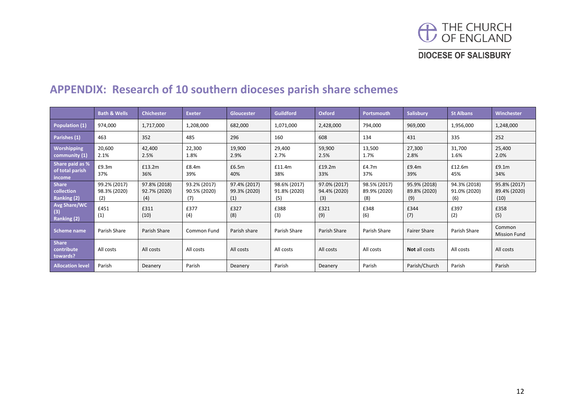

#### <span id="page-11-0"></span>**Bath & Wells Chichester Exeter Gloucester Guildford Oxford Portsmouth Salisbury St Albans Winchester Population (1)** 974,000 1,717,000 1,208,000 682,000 1,071,000 2,428,000 794,000 969,000 1,956,000 1,248,000 Parishes (1) <mark>| 463 | 352 | 485 | 296 | 160 | 608 | 134 | 431 | 335 | 252</mark> **Worshipping community (1)** 20,600 2.1% 42,400 2.5% 22,300 1.8% 19,900 2.9% 29,400 2.7% 59,900 2.5% 13,500 1.7% 27,300 2.8% 31,700 1.6% 25,400 2.0% **Share paid as % of total parish income** £9.3m 37% £13.2m 36% £8.4m 39% £6.5m 40% £11.4m 38% £19.2m 33% £4.7m 37% £9.4m 39% £12.6m 45% £9.1m 34% **Share collection Ranking (2)** 99.2% (2017) 98.3% (2020) (2) 97.8% (2018) 92.7% (2020) (4) 93.2% (2017) 90.5% (2020) (7) 97.4% (2017) 99.3% (2020) (1) 98.6% (2017) 91.8% (2020) (5) 97.0% (2017) 94.4% (2020) (3) 98.5% (2017) 89.9% (2020) (8) 95.9% (2018) 89.8% (2020) (9) 94.3% (2018) 91.0% (2020) (6) 95.8% (2017) 89.4% (2020) (10) **Avg Share/WC (3) Ranking (2)** £451 (1) £311 (10) £377 (4) £327 (8) £388 (3) £321 (9) £348 (6) £344 (7) £397 (2) £358 (5) **Scheme name** Parish Share Parish Share Common Fund Parish share Parish Share Parish Share Parish Share Parish Share Common Parish Share Common Parish Share Common Parish Share Common Parish Share Parish Share Common Paris Mission Fund **Share contribute towards?** All costs All costs All costs All costs All costs All costs All costs **Not** all costs All costs All costs **Allocation level** Parish Deanery Parish Deanery Parish Deanery Parish Parish/Church Parish Parish

### **APPENDIX: Research of 10 southern dioceses parish share schemes**